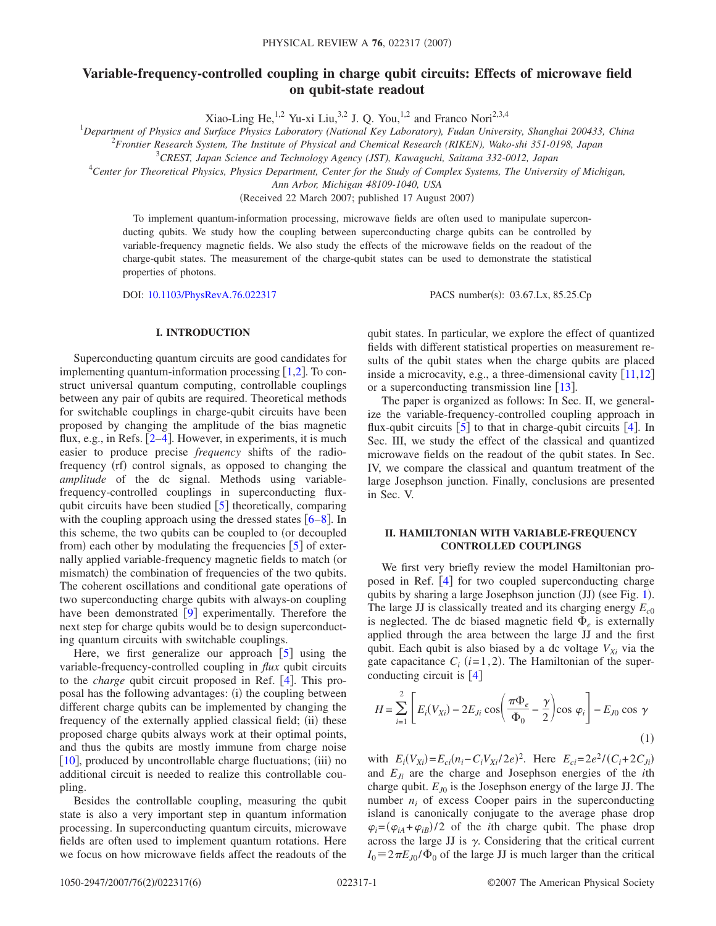# **Variable-frequency-controlled coupling in charge qubit circuits: Effects of microwave field on qubit-state readout**

<sup>1</sup>Department of Physics and Surface Physics Laboratory (National Key Laboratory), Fudan University, Shanghai 200433, China<br><sup>1</sup>Department of Physics and Surface Physics Laboratory (National Key Laboratory), Fudan Universit

2 *Frontier Research System, The Institute of Physical and Chemical Research (RIKEN), Wako-shi 351-0198, Japan*

3 *CREST, Japan Science and Technology Agency (JST), Kawaguchi, Saitama 332-0012, Japan*

4 *Center for Theoretical Physics, Physics Department, Center for the Study of Complex Systems, The University of Michigan,*

*Ann Arbor, Michigan 48109-1040, USA*

(Received 22 March 2007; published 17 August 2007)

To implement quantum-information processing, microwave fields are often used to manipulate superconducting qubits. We study how the coupling between superconducting charge qubits can be controlled by variable-frequency magnetic fields. We also study the effects of the microwave fields on the readout of the charge-qubit states. The measurement of the charge-qubit states can be used to demonstrate the statistical properties of photons.

DOI: [10.1103/PhysRevA.76.022317](http://dx.doi.org/10.1103/PhysRevA.76.022317)

PACS number(s): 03.67.Lx, 85.25.Cp

# **I. INTRODUCTION**

Superconducting quantum circuits are good candidates for implementing quantum-information processing  $[1,2]$  $[1,2]$  $[1,2]$  $[1,2]$ . To construct universal quantum computing, controllable couplings between any pair of qubits are required. Theoretical methods for switchable couplings in charge-qubit circuits have been proposed by changing the amplitude of the bias magnetic flux, e.g., in Refs.  $[2-4]$  $[2-4]$  $[2-4]$ . However, in experiments, it is much easier to produce precise *frequency* shifts of the radiofrequency (rf) control signals, as opposed to changing the *amplitude* of the dc signal. Methods using variablefrequency-controlled couplings in superconducting fluxqubit circuits have been studied  $\lceil 5 \rceil$  $\lceil 5 \rceil$  $\lceil 5 \rceil$  theoretically, comparing with the coupling approach using the dressed states  $[6-8]$  $[6-8]$  $[6-8]$ . In this scheme, the two qubits can be coupled to (or decoupled from) each other by modulating the frequencies [[5](#page-5-3)] of externally applied variable-frequency magnetic fields to match (or mismatch) the combination of frequencies of the two qubits. The coherent oscillations and conditional gate operations of two superconducting charge qubits with always-on coupling have been demonstrated  $[9]$  $[9]$  $[9]$  experimentally. Therefore the next step for charge qubits would be to design superconducting quantum circuits with switchable couplings.

Here, we first generalize our approach  $\lceil 5 \rceil$  $\lceil 5 \rceil$  $\lceil 5 \rceil$  using the variable-frequency-controlled coupling in *flux* qubit circuits to the *charge* qubit circuit proposed in Ref. [[4](#page-5-2)]. This proposal has the following advantages: (i) the coupling between different charge qubits can be implemented by changing the frequency of the externally applied classical field; (ii) these proposed charge qubits always work at their optimal points, and thus the qubits are mostly immune from charge noise [[10](#page-5-7)], produced by uncontrollable charge fluctuations; (iii) no additional circuit is needed to realize this controllable coupling.

Besides the controllable coupling, measuring the qubit state is also a very important step in quantum information processing. In superconducting quantum circuits, microwave fields are often used to implement quantum rotations. Here we focus on how microwave fields affect the readouts of the qubit states. In particular, we explore the effect of quantized fields with different statistical properties on measurement results of the qubit states when the charge qubits are placed inside a microcavity, e.g., a three-dimensional cavity  $\lceil 11,12 \rceil$  $\lceil 11,12 \rceil$  $\lceil 11,12 \rceil$  $\lceil 11,12 \rceil$ or a superconducting transmission line  $\lceil 13 \rceil$  $\lceil 13 \rceil$  $\lceil 13 \rceil$ .

The paper is organized as follows: In Sec. II, we generalize the variable-frequency-controlled coupling approach in flux-qubit circuits  $\begin{bmatrix} 5 \end{bmatrix}$  $\begin{bmatrix} 5 \end{bmatrix}$  $\begin{bmatrix} 5 \end{bmatrix}$  to that in charge-qubit circuits  $\begin{bmatrix} 4 \end{bmatrix}$  $\begin{bmatrix} 4 \end{bmatrix}$  $\begin{bmatrix} 4 \end{bmatrix}$ . In Sec. III, we study the effect of the classical and quantized microwave fields on the readout of the qubit states. In Sec. IV, we compare the classical and quantum treatment of the large Josephson junction. Finally, conclusions are presented in Sec. V.

### **II. HAMILTONIAN WITH VARIABLE-FREQUENCY CONTROLLED COUPLINGS**

We first very briefly review the model Hamiltonian proposed in Ref.  $[4]$  $[4]$  $[4]$  for two coupled superconducting charge qubits by sharing a large Josephson junction (JJ) (see Fig. [1](#page-1-0)). The large JJ is classically treated and its charging energy  $E_{c0}$ is neglected. The dc biased magnetic field  $\Phi_e$  is externally applied through the area between the large JJ and the first qubit. Each qubit is also biased by a dc voltage  $V_{Xi}$  via the gate capacitance  $C_i$   $(i=1,2)$ . The Hamiltonian of the superconducting circuit is  $[4]$  $[4]$  $[4]$ 

<span id="page-0-0"></span>
$$
H = \sum_{i=1}^{2} \left[ E_i(V_{Xi}) - 2E_{Ji} \cos\left(\frac{\pi \Phi_e}{\Phi_0} - \frac{\gamma}{2}\right) \cos \varphi_i \right] - E_{J0} \cos \gamma
$$
\n(1)

with  $E_i(V_{Xi}) = E_{ci}(n_i - C_i V_{Xi}/2e)^2$ . Here  $E_{ci} = 2e^2/(C_i + 2C_{Ji})$ and  $E_{Ii}$  are the charge and Josephson energies of the *i*th charge qubit.  $E_{I0}$  is the Josephson energy of the large JJ. The number  $n_i$  of excess Cooper pairs in the superconducting island is canonically conjugate to the average phase drop  $\varphi_i = (\varphi_{iA} + \varphi_{iB})/2$  of the *i*th charge qubit. The phase drop across the large JJ is  $\gamma$ . Considering that the critical current  $I_0 = 2\pi E_{J0} / \Phi_0$  of the large JJ is much larger than the critical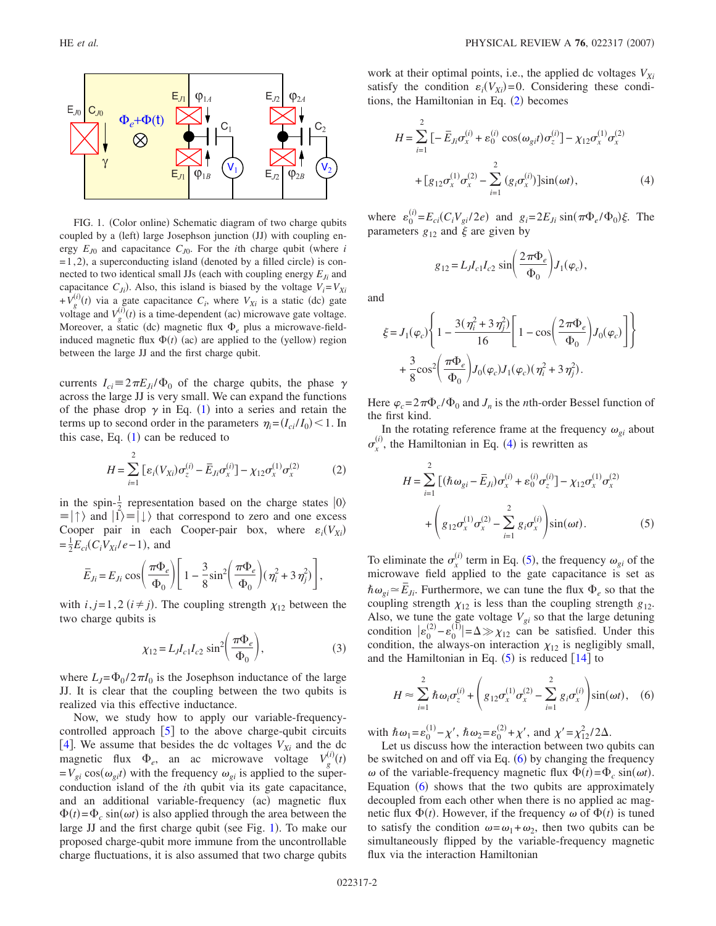<span id="page-1-0"></span>

FIG. 1. (Color online) Schematic diagram of two charge qubits coupled by a (left) large Josephson junction (JJ) with coupling energy  $E_{J0}$  and capacitance  $C_{J0}$ . For the *i*th charge qubit (where *i*  $=$  1,2), a superconducting island (denoted by a filled circle) is connected to two identical small JJs (each with coupling energy  $E_{Ii}$  and capacitance  $C_{Ji}$ ). Also, this island is biased by the voltage  $V_i = V_{Xi}$  $+v_g^{(i)}(t)$  via a gate capacitance  $C_i$ , where  $V_{Xi}$  is a static (dc) gate voltage and  $V_g^{(i)}(t)$  is a time-dependent (ac) microwave gate voltage. Moreover, a static (dc) magnetic flux  $\Phi_e$  plus a microwave-fieldinduced magnetic flux  $\Phi(t)$  (ac) are applied to the (yellow) region between the large JJ and the first charge qubit.

currents  $I_{ci} = 2\pi E_{Ji} / \Phi_0$  of the charge qubits, the phase  $\gamma$ across the large JJ is very small. We can expand the functions of the phase drop  $\gamma$  in Eq. ([1](#page-0-0)) into a series and retain the terms up to second order in the parameters  $\eta_i = (I_{ci}/I_0) < 1$ . In this case, Eq.  $(1)$  $(1)$  $(1)$  can be reduced to

$$
H = \sum_{i=1}^{2} \left[ \varepsilon_i (V_{Xi}) \sigma_z^{(i)} - \bar{E}_{Ji} \sigma_x^{(i)} \right] - \chi_{12} \sigma_x^{(1)} \sigma_x^{(2)} \tag{2}
$$

<span id="page-1-1"></span>in the spin- $\frac{1}{2}$  representation based on the charge states  $|0\rangle$  $\equiv$   $|\uparrow\rangle$  and  $|1\rangle \equiv |\downarrow\rangle$  that correspond to zero and one excess Cooper pair in each Cooper-pair box, where  $\varepsilon_i(V_{Xi})$  $=\frac{1}{2}E_{ci}(C_iV_{Xi}/e-1)$ , and

$$
\overline{E}_{Ji} = E_{Ji} \cos\left(\frac{\pi \Phi_e}{\Phi_0}\right) \left[1 - \frac{3}{8} \sin^2\left(\frac{\pi \Phi_e}{\Phi_0}\right) (\eta_i^2 + 3 \eta_j^2) \right],
$$

with  $i, j = 1, 2$  ( $i \neq j$ ). The coupling strength  $\chi_{12}$  between the two charge qubits is

$$
\chi_{12} = L_J I_{c1} I_{c2} \sin^2 \left( \frac{\pi \Phi_e}{\Phi_0} \right),
$$
 (3)

where  $L_J = \Phi_0 / 2 \pi I_0$  is the Josephson inductance of the large JJ. It is clear that the coupling between the two qubits is realized via this effective inductance.

Now, we study how to apply our variable-frequencycontrolled approach  $\begin{bmatrix} 5 \end{bmatrix}$  $\begin{bmatrix} 5 \end{bmatrix}$  $\begin{bmatrix} 5 \end{bmatrix}$  to the above charge-qubit circuits [[4](#page-5-2)]. We assume that besides the dc voltages  $V_{Xi}$  and the dc magnetic flux  $\Phi_e$ , an ac microwave voltage  $V_g^0$  $\binom{i}{a}(t)$  $= V_{gi} \cos(\omega_{gi}t)$  with the frequency  $\omega_{gi}$  is applied to the superconduction island of the *i*th qubit via its gate capacitance, and an additional variable-frequency (ac) magnetic flux  $\Phi(t) = \Phi_c \sin(\omega t)$  is also applied through the area between the large JJ and the first charge qubit (see Fig. [1](#page-1-0)). To make our proposed charge-qubit more immune from the uncontrollable charge fluctuations, it is also assumed that two charge qubits work at their optimal points, i.e., the applied dc voltages  $V_{Xi}$ satisfy the condition  $\varepsilon_i(V_{Xi}) = 0$ . Considering these condi-tions, the Hamiltonian in Eq. ([2](#page-1-1)) becomes

<span id="page-1-2"></span>
$$
H = \sum_{i=1}^{2} \left[ -\overline{E}_{Ji} \sigma_{x}^{(i)} + \varepsilon_{0}^{(i)} \cos(\omega_{gi} t) \sigma_{z}^{(i)} \right] - \chi_{12} \sigma_{x}^{(1)} \sigma_{x}^{(2)}
$$

$$
+ \left[ g_{12} \sigma_{x}^{(1)} \sigma_{x}^{(2)} - \sum_{i=1}^{2} \left( g_{i} \sigma_{x}^{(i)} \right) \right] \sin(\omega t), \tag{4}
$$

where  $\varepsilon_0^{(i)} = E_{ci}(C_i V_{gi}/2e)$  and  $g_i = 2E_{Ji} \sin(\pi \Phi_e/\Phi_0)\xi$ . The parameters  $g_{12}$  and  $\xi$  are given by

$$
g_{12} = L_J I_{c1} I_{c2} \sin\left(\frac{2\pi \Phi_e}{\Phi_0}\right) J_1(\varphi_c),
$$

and

$$
\begin{split} \xi & = J_1(\varphi_c) \Bigg\{ 1 - \frac{3(\eta_i^2 + 3\eta_j^2)}{16} \Bigg[ 1 - \cos\Bigg( \frac{2\pi \Phi_e}{\Phi_0} \Bigg) J_0(\varphi_c) \Bigg] \Bigg\} \\ & + \frac{3}{8} \cos^2 \Bigg( \frac{\pi \Phi_e}{\Phi_0} \Bigg) J_0(\varphi_c) J_1(\varphi_c) (\eta_i^2 + 3\eta_j^2). \end{split}
$$

Here  $\varphi_c = 2\pi \Phi_c / \Phi_0$  and  $J_n$  is the *n*th-order Bessel function of the first kind.

<span id="page-1-3"></span>In the rotating reference frame at the frequency  $\omega_{gi}$  about  $\sigma_x^{(i)}$ , the Hamiltonian in Eq. ([4](#page-1-2)) is rewritten as

$$
H = \sum_{i=1}^{2} \left[ (\hbar \omega_{gi} - \bar{E}_{Ji}) \sigma_{x}^{(i)} + \varepsilon_{0}^{(i)} \sigma_{z}^{(i)} \right] - \chi_{12} \sigma_{x}^{(1)} \sigma_{x}^{(2)}
$$

$$
+ \left( g_{12} \sigma_{x}^{(1)} \sigma_{x}^{(2)} - \sum_{i=1}^{2} g_{i} \sigma_{x}^{(i)} \right) \sin(\omega t). \tag{5}
$$

To eliminate the  $\sigma_x^{(i)}$  term in Eq. ([5](#page-1-3)), the frequency  $\omega_{gi}$  of the microwave field applied to the gate capacitance is set as  $\hbar \omega_{gi} \approx \vec{E}_{ji}$ . Furthermore, we can tune the flux  $\Phi_e$  so that the coupling strength  $\chi_{12}$  is less than the coupling strength  $g_{12}$ . Also, we tune the gate voltage  $V_{gi}$  so that the large detuning condition  $|\varepsilon_0^{(2)} - \varepsilon_0^{(1)}| = \Delta \gg \chi_{12}$  can be satisfied. Under this condition, the always-on interaction  $\chi_{12}$  is negligibly small, and the Hamiltonian in Eq.  $(5)$  $(5)$  $(5)$  is reduced  $[14]$  $[14]$  $[14]$  to

<span id="page-1-4"></span>
$$
H \approx \sum_{i=1}^{2} \hbar \omega_{i} \sigma_{z}^{(i)} + \left( g_{12} \sigma_{x}^{(1)} \sigma_{x}^{(2)} - \sum_{i=1}^{2} g_{i} \sigma_{x}^{(i)} \right) \sin(\omega t), \quad (6)
$$

with  $\hbar \omega_1 = \varepsilon_0^{(1)} - \chi'$ ,  $\hbar \omega_2 = \varepsilon_0^{(2)} + \chi'$ , and  $\chi' = \chi_{12}^2 / 2\Delta$ .

Let us discuss how the interaction between two qubits can be switched on and off via Eq.  $(6)$  $(6)$  $(6)$  by changing the frequency  $\omega$  of the variable-frequency magnetic flux  $\Phi(t) = \Phi_c \sin(\omega t)$ . Equation  $(6)$  $(6)$  $(6)$  shows that the two qubits are approximately decoupled from each other when there is no applied ac magnetic flux  $\Phi(t)$ . However, if the frequency  $\omega$  of  $\Phi(t)$  is tuned to satisfy the condition  $\omega = \omega_1 + \omega_2$ , then two qubits can be simultaneously flipped by the variable-frequency magnetic flux via the interaction Hamiltonian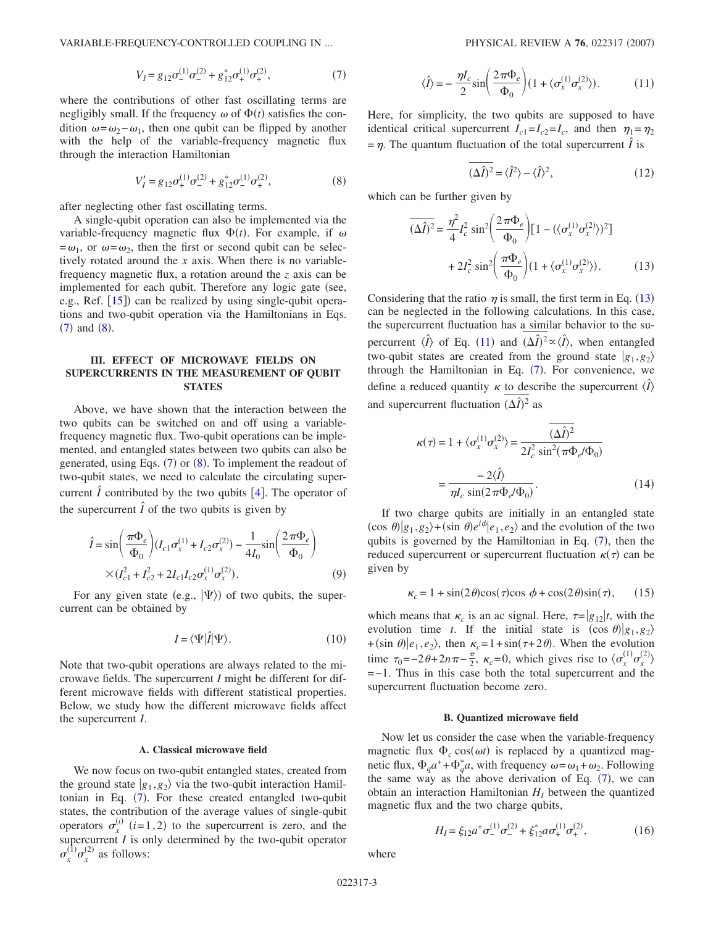<span id="page-2-0"></span>VARIABLE-FREQUENCY-CONTROLLED COUPLING IN ...

$$
V_I = g_{12}\sigma_-^{(1)}\sigma_-^{(2)} + g_{12}^*\sigma_+^{(1)}\sigma_+^{(2)},\tag{7}
$$

where the contributions of other fast oscillating terms are negligibly small. If the frequency  $\omega$  of  $\Phi(t)$  satisfies the condition  $\omega = \omega_2 - \omega_1$ , then one qubit can be flipped by another with the help of the variable-frequency magnetic flux through the interaction Hamiltonian

$$
V'_I = g_{12}\sigma_+^{(1)}\sigma_-^{(2)} + g_{12}^*\sigma_-^{(1)}\sigma_+^{(2)},\tag{8}
$$

<span id="page-2-1"></span>after neglecting other fast oscillating terms.

A single-qubit operation can also be implemented via the variable-frequency magnetic flux  $\Phi(t)$ . For example, if  $\omega$  $=\omega_1$ , or  $\omega = \omega_2$ , then the first or second qubit can be selectively rotated around the *x* axis. When there is no variablefrequency magnetic flux, a rotation around the *z* axis can be implemented for each qubit. Therefore any logic gate (see, e.g., Ref. [[15](#page-5-12)]) can be realized by using single-qubit operations and two-qubit operation via the Hamiltonians in Eqs.  $(7)$  $(7)$  $(7)$  and  $(8)$  $(8)$  $(8)$ .

## **III. EFFECT OF MICROWAVE FIELDS ON SUPERCURRENTS IN THE MEASUREMENT OF QUBIT STATES**

Above, we have shown that the interaction between the two qubits can be switched on and off using a variablefrequency magnetic flux. Two-qubit operations can be implemented, and entangled states between two qubits can also be generated, using Eqs.  $(7)$  $(7)$  $(7)$  or  $(8)$  $(8)$  $(8)$ . To implement the readout of two-qubit states, we need to calculate the circulating supercurrent  $\hat{I}$  contributed by the two qubits [[4](#page-5-2)]. The operator of the supercurrent  $\hat{I}$  of the two qubits is given by

$$
\hat{I} = \sin\left(\frac{\pi \Phi_e}{\Phi_0}\right) (I_{c1} \sigma_x^{(1)} + I_{c2} \sigma_x^{(2)}) - \frac{1}{4I_0} \sin\left(\frac{2\pi \Phi_e}{\Phi_0}\right)
$$

$$
\times (I_{c1}^2 + I_{c2}^2 + 2I_{c1} I_{c2} \sigma_x^{(1)} \sigma_x^{(2)}).
$$
(9)

For any given state (e.g.,  $|\Psi\rangle$ ) of two qubits, the supercurrent can be obtained by

$$
I = \langle \Psi | \hat{I} | \Psi \rangle. \tag{10}
$$

Note that two-qubit operations are always related to the microwave fields. The supercurrent *I* might be different for different microwave fields with different statistical properties. Below, we study how the different microwave fields affect the supercurrent *I*.

#### **A. Classical microwave field**

We now focus on two-qubit entangled states, created from the ground state  $|g_1, g_2\rangle$  via the two-qubit interaction Hamil-tonian in Eq. ([7](#page-2-0)). For these created entangled two-qubit states, the contribution of the average values of single-qubit operators  $\sigma_x^{(i)}$  (*i*=1,2) to the supercurrent is zero, and the supercurrent *I* is only determined by the two-qubit operator  $\sigma_x^{(1)} \sigma_x^{(2)}$  as follows:

$$
\langle \hat{I} \rangle = -\frac{\eta I_c}{2} \sin \left( \frac{2\pi \Phi_e}{\Phi_0} \right) (1 + \langle \sigma_x^{(1)} \sigma_x^{(2)} \rangle). \tag{11}
$$

<span id="page-2-3"></span>Here, for simplicity, the two qubits are supposed to have identical critical supercurrent  $I_{c1} = I_{c2} = I_c$ , and then  $\eta_1 = \eta_2$  $= \eta$ . The quantum fluctuation of the total supercurrent  $\hat{I}$  is

$$
\overline{(\Delta \hat{I})^2} = \langle \hat{I}^2 \rangle - \langle \hat{I} \rangle^2, \tag{12}
$$

<span id="page-2-2"></span>which can be further given by

$$
\overline{(\Delta \hat{I})^2} = \frac{\eta^2}{4} I_c^2 \sin^2 \left( \frac{2\pi \Phi_e}{\Phi_0} \right) \left[ 1 - (\langle \sigma_x^{(1)} \sigma_x^{(2)} \rangle)^2 \right]
$$

$$
+ 2I_c^2 \sin^2 \left( \frac{\pi \Phi_e}{\Phi_0} \right) \left( 1 + \langle \sigma_x^{(1)} \sigma_x^{(2)} \rangle \right). \tag{13}
$$

Considering that the ratio  $\eta$  is small, the first term in Eq. ([13](#page-2-2)) can be neglected in the following calculations. In this case, the supercurrent fluctuation has a similar behavior to the supercurrent  $\langle \hat{I} \rangle$  of Eq. ([11](#page-2-3)) and  $({\Delta \hat{I}})^2 \propto \langle \hat{I} \rangle$ , when entangled two-qubit states are created from the ground state  $|g_1, g_2\rangle$ through the Hamiltonian in Eq.  $(7)$  $(7)$  $(7)$ . For convenience, we define a reduced quantity  $\kappa$  to describe the supercurrent  $\langle \hat{I} \rangle$ and supercurrent fluctuation  $(\Delta \hat{I})^2$  as

<span id="page-2-5"></span>
$$
\kappa(\tau) = 1 + \langle \sigma_x^{(1)} \sigma_x^{(2)} \rangle = \frac{(\Delta \hat{I})^2}{2I_c^2 \sin^2(\pi \Phi_e / \Phi_0)}
$$

$$
= \frac{-2\langle \hat{I} \rangle}{\eta I_c \sin(2\pi \Phi_e / \Phi_0)}.
$$
(14)

If two charge qubits are initially in an entangled state  $(\cos \theta)|g_1, g_2\rangle + (\sin \theta)e^{i\phi}|e_1, e_2\rangle$  and the evolution of the two qubits is governed by the Hamiltonian in Eq.  $(7)$  $(7)$  $(7)$ , then the reduced supercurrent or supercurrent fluctuation  $\kappa(\tau)$  can be given by

$$
\kappa_c = 1 + \sin(2\theta)\cos(\tau)\cos\phi + \cos(2\theta)\sin(\tau), \qquad (15)
$$

which means that  $\kappa_c$  is an ac signal. Here,  $\tau = |g_{12}|t$ , with the evolution time *t*. If the initial state is  $(\cos \theta)|g_1, g_2\rangle$ + (sin  $\theta$ )  $|e_1, e_2\rangle$ , then  $\kappa_c = 1 + \sin(\tau + 2\theta)$ . When the evolution time  $\tau_0 = -2\theta + 2n\pi - \frac{\pi}{2}$ ,  $\kappa_c = 0$ , which gives rise to  $\langle \sigma_x^{(1)} \sigma_x^{(2)} \rangle$ =−1. Thus in this case both the total supercurrent and the supercurrent fluctuation become zero.

#### **B. Quantized microwave field**

Now let us consider the case when the variable-frequency magnetic flux  $\Phi_c \cos(\omega t)$  is replaced by a quantized magnetic flux,  $\Phi_q a^+ + \Phi_q^* a$ , with frequency  $\omega = \omega_1 + \omega_2$ . Following the same way as the above derivation of Eq.  $(7)$  $(7)$  $(7)$ , we can obtain an interaction Hamiltonian  $H<sub>I</sub>$  between the quantized magnetic flux and the two charge qubits,

$$
H_{I} = \xi_{12} a^{+} \sigma_{-}^{(1)} \sigma_{-}^{(2)} + \xi_{12}^{*} a \sigma_{+}^{(1)} \sigma_{+}^{(2)}, \qquad (16)
$$

<span id="page-2-4"></span>where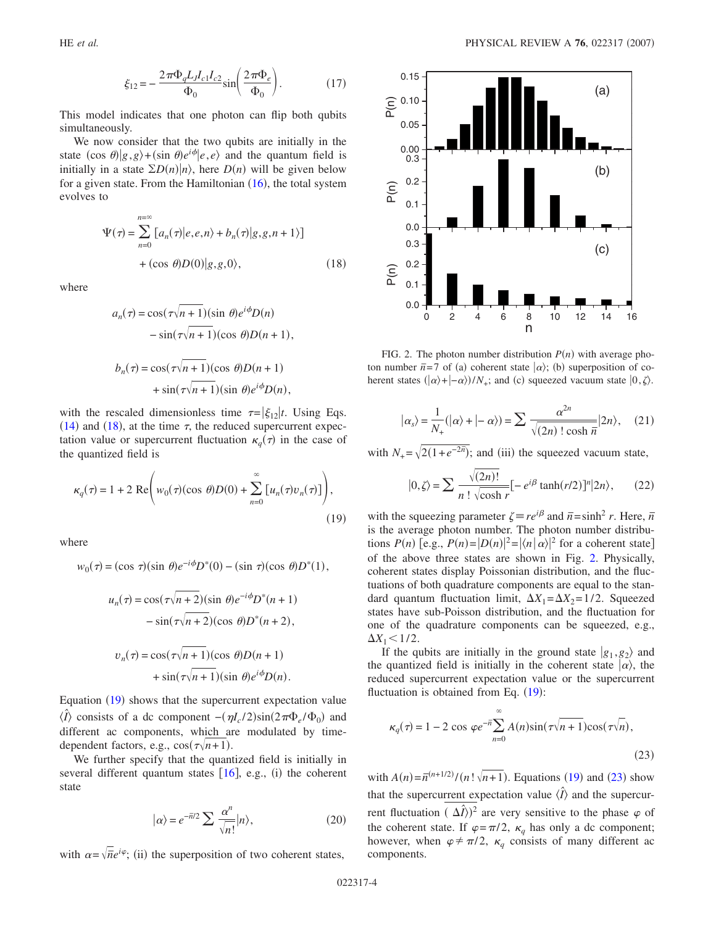$$
\xi_{12} = -\frac{2\pi\Phi_{q}L_{J}l_{c1}l_{c2}}{\Phi_{0}}\sin\left(\frac{2\pi\Phi_{e}}{\Phi_{0}}\right).
$$
 (17)

This model indicates that one photon can flip both qubits simultaneously.

We now consider that the two qubits are initially in the state  $(\cos \theta)|g, g\rangle + (\sin \theta)e^{i\phi}|e, e\rangle$  and the quantum field is initially in a state  $\Sigma D(n)|n\rangle$ , here  $D(n)$  will be given below for a given state. From the Hamiltonian  $(16)$  $(16)$  $(16)$ , the total system evolves to

<span id="page-3-0"></span>
$$
\Psi(\tau) = \sum_{n=0}^{n=\infty} [a_n(\tau)|e,e,n\rangle + b_n(\tau)|g,g,n+1\rangle]
$$
  
+ (cos  $\theta$ ) $D(0)|g,g,0\rangle$ , (18)

where

$$
a_n(\tau) = \cos(\tau \sqrt{n+1})(\sin \theta) e^{i\phi} D(n)
$$
  
-  $\sin(\tau \sqrt{n+1})(\cos \theta) D(n+1),$   

$$
b_n(\tau) = \cos(\tau \sqrt{n+1})(\cos \theta) D(n+1)
$$
  
+  $\sin(\tau \sqrt{n+1})(\sin \theta) e^{i\phi} D(n),$ 

with the rescaled dimensionless time  $\tau = |\xi_{12}|t$ . Using Eqs. ([14](#page-2-5)) and ([18](#page-3-0)), at the time  $\tau$ , the reduced supercurrent expectation value or supercurrent fluctuation  $\kappa_q(\tau)$  in the case of the quantized field is

<span id="page-3-1"></span>
$$
\kappa_q(\tau) = 1 + 2 \operatorname{Re} \left( w_0(\tau) (\cos \theta) D(0) + \sum_{n=0}^{\infty} \left[ u_n(\tau) v_n(\tau) \right] \right),
$$
\n(19)

where

$$
w_0(\tau) = (\cos \tau)(\sin \theta)e^{-i\phi}D^*(0) - (\sin \tau)(\cos \theta)D^*(1),
$$

$$
u_n(\tau) = \cos(\tau \sqrt{n+2})(\sin \theta) e^{-i\phi} D^*(n+1)
$$

$$
-\sin(\tau \sqrt{n+2})(\cos \theta) D^*(n+2),
$$

$$
v_n(\tau) = \cos(\tau \sqrt{n+1})(\cos \theta) D(n+1)
$$

$$
+\sin(\tau\sqrt{n+1})(\sin\theta)e^{i\phi}D(n).
$$

Equation ([19](#page-3-1)) shows that the supercurrent expectation value  $\langle \hat{I} \rangle$  consists of a dc component  $-(\eta I_c/2) \sin(2\pi \Phi_e/\Phi_0)$  and different ac components, which are modulated by timedependent factors, e.g.,  $cos(\tau \sqrt{n+1})$ .

We further specify that the quantized field is initially in several different quantum states  $[16]$  $[16]$  $[16]$ , e.g., (i) the coherent state

$$
|\alpha\rangle = e^{-\overline{n}/2} \sum \frac{\alpha^n}{\sqrt{n!}} |n\rangle, \qquad (20)
$$

with  $\alpha = \sqrt{\overline{n}}e^{i\varphi}$ ; (ii) the superposition of two coherent states,

<span id="page-3-2"></span>

FIG. 2. The photon number distribution  $P(n)$  with average photon number  $\bar{n}$ =7 of (a) coherent state  $|\alpha\rangle$ ; (b) superposition of coherent states  $(|\alpha\rangle + |-\alpha\rangle)/N_+$ ; and (c) squeezed vacuum state  $|0,\zeta\rangle$ .

$$
|\alpha_s\rangle = \frac{1}{N_+} (|\alpha\rangle + |-\alpha\rangle) = \sum \frac{\alpha^{2n}}{\sqrt{(2n)! \cosh n}} |2n\rangle, \quad (21)
$$

with  $N_+ = \sqrt{2(1+e^{-2\overline{n}})}$ ; and (iii) the squeezed vacuum state,

$$
|0,\zeta\rangle = \sum \frac{\sqrt{(2n)!}}{n! \sqrt{\cosh r}} [-e^{i\beta} \tanh(r/2)]^n |2n\rangle, \qquad (22)
$$

with the squeezing parameter  $\zeta = re^{i\beta}$  and  $\bar{n} = \sinh^2 r$ . Here,  $\bar{n}$ is the average photon number. The photon number distributions  $P(n)$  [e.g.,  $P(n) = |D(n)|^2 = |\langle n | \alpha \rangle|^2$  for a coherent state] of the above three states are shown in Fig. [2.](#page-3-2) Physically, coherent states display Poissonian distribution, and the fluctuations of both quadrature components are equal to the standard quantum fluctuation limit,  $\Delta X_1 = \Delta X_2 = 1/2$ . Squeezed states have sub-Poisson distribution, and the fluctuation for one of the quadrature components can be squeezed, e.g.,  $\Delta X_1 \leq 1/2$ .

If the qubits are initially in the ground state  $|g_1, g_2\rangle$  and the quantized field is initially in the coherent state  $|\alpha\rangle$ , the reduced supercurrent expectation value or the supercurrent fluctuation is obtained from Eq.  $(19)$  $(19)$  $(19)$ :

<span id="page-3-3"></span>
$$
\kappa_q(\tau) = 1 - 2 \cos \varphi e^{-\bar{n}} \sum_{n=0}^{\infty} A(n) \sin(\tau \sqrt{n+1}) \cos(\tau \sqrt{n}),
$$
\n(23)

with  $A(n) = \overline{n}^{(n+1/2)}/(n! \sqrt{n+1})$ . Equations ([19](#page-3-1)) and ([23](#page-3-3)) show that the supercurrent expectation value  $\langle \hat{I} \rangle$  and the supercurrent fluctuation  $(\Delta \hat{I})^2$  are very sensitive to the phase  $\varphi$  of the coherent state. If  $\varphi = \pi/2$ ,  $\kappa_q$  has only a dc component; however, when  $\varphi \neq \pi/2$ ,  $\kappa_q$  consists of many different ac components.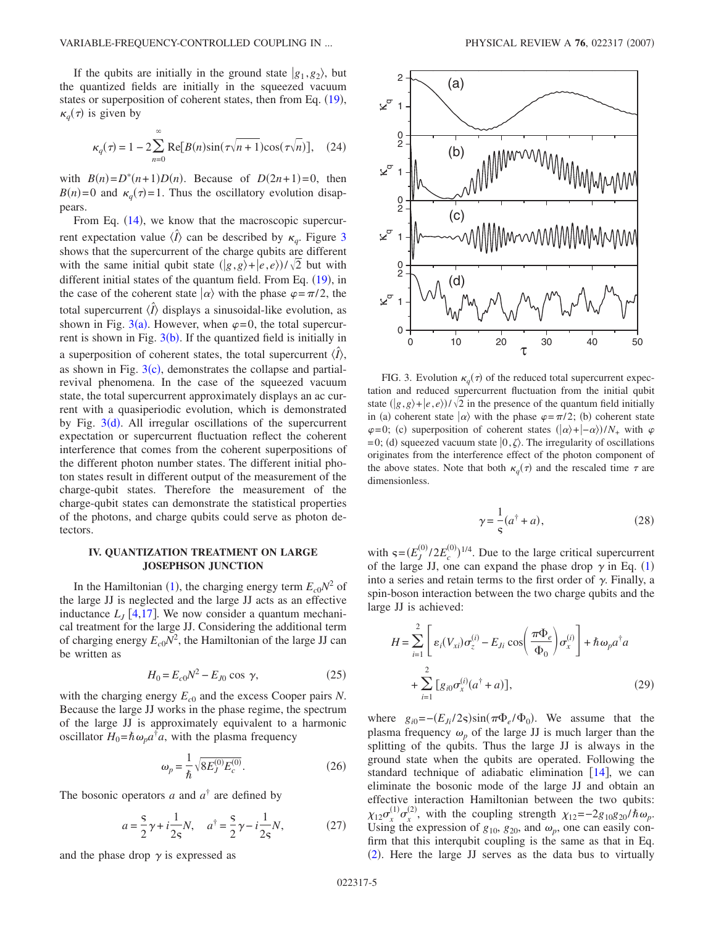If the qubits are initially in the ground state  $|g_1, g_2\rangle$ , but the quantized fields are initially in the squeezed vacuum states or superposition of coherent states, then from Eq. ([19](#page-3-1)),  $\kappa_q(\tau)$  is given by

$$
\kappa_q(\tau) = 1 - 2 \sum_{n=0}^{\infty} \text{Re}[B(n)\sin(\tau\sqrt{n+1})\cos(\tau\sqrt{n})], \quad (24)
$$

with  $B(n)=D^*(n+1)D(n)$ . Because of  $D(2n+1)=0$ , then  $B(n)=0$  and  $\kappa_q(\tau)=1$ . Thus the oscillatory evolution disappears.

From Eq.  $(14)$  $(14)$  $(14)$ , we know that the macroscopic supercurrent expectation value  $\langle \hat{I} \rangle$  can be described by  $\kappa_q$ . Figure [3](#page-4-0) shows that the supercurrent of the charge qubits are different with the same initial qubit state  $(|g,g\rangle + |e,e\rangle)/\sqrt{2}$  but with different initial states of the quantum field. From Eq. ([19](#page-3-1)), in the case of the coherent state  $|\alpha\rangle$  with the phase  $\varphi = \pi/2$ , the total supercurrent  $\langle \hat{I} \rangle$  displays a sinusoidal-like evolution, as shown in Fig.  $3(a)$  $3(a)$ . However, when  $\varphi = 0$ , the total supercurrent is shown in Fig.  $3(b)$  $3(b)$ . If the quantized field is initially in a superposition of coherent states, the total supercurrent  $\langle \hat{I} \rangle$ , as shown in Fig.  $3(c)$  $3(c)$ , demonstrates the collapse and partialrevival phenomena. In the case of the squeezed vacuum state, the total supercurrent approximately displays an ac current with a quasiperiodic evolution, which is demonstrated by Fig. [3](#page-4-0)(d). All irregular oscillations of the supercurrent expectation or supercurrent fluctuation reflect the coherent interference that comes from the coherent superpositions of the different photon number states. The different initial photon states result in different output of the measurement of the charge-qubit states. Therefore the measurement of the charge-qubit states can demonstrate the statistical properties of the photons, and charge qubits could serve as photon detectors.

# **IV. QUANTIZATION TREATMENT ON LARGE JOSEPHSON JUNCTION**

In the Hamiltonian ([1](#page-0-0)), the charging energy term  $E_{c0}N^2$  of the large JJ is neglected and the large JJ acts as an effective inductance  $L<sub>I</sub>$  [[4,](#page-5-2)[17](#page-5-14)]. We now consider a quantum mechanical treatment for the large JJ. Considering the additional term of charging energy  $E_{c0}N^2$ , the Hamiltonian of the large JJ can be written as

$$
H_0 = E_{c0}N^2 - E_{J0} \cos \gamma,
$$
 (25)

with the charging energy  $E_{c0}$  and the excess Cooper pairs *N*. Because the large JJ works in the phase regime, the spectrum of the large JJ is approximately equivalent to a harmonic oscillator  $H_0 = \hbar \omega_p a^{\dagger} a$ , with the plasma frequency

$$
\omega_p = \frac{1}{\hbar} \sqrt{8E_J^{(0)} E_c^{(0)}}.
$$
\n(26)

The bosonic operators *a* and  $a^{\dagger}$  are defined by

$$
a = \frac{S}{2}\gamma + i\frac{1}{2S}N, \quad a^{\dagger} = \frac{S}{2}\gamma - i\frac{1}{2S}N,
$$
 (27)

and the phase drop  $\gamma$  is expressed as

<span id="page-4-0"></span>

FIG. 3. Evolution  $\kappa_q(\tau)$  of the reduced total supercurrent expectation and reduced supercurrent fluctuation from the initial qubit state  $\left(\frac{g}{g}, g\right) + \left(e, e\right)/\sqrt{2}$  in the presence of the quantum field initially in (a) coherent state  $|\alpha\rangle$  with the phase  $\varphi = \pi/2$ ; (b) coherent state  $\varphi=0$ ; (c) superposition of coherent states  $(|\alpha\rangle+|-\alpha\rangle)/N_+$  with  $\varphi$ =0; (d) squeezed vacuum state  $\vert 0, \zeta \rangle$ . The irregularity of oscillations originates from the interference effect of the photon component of the above states. Note that both  $\kappa_q(\tau)$  and the rescaled time  $\tau$  are dimensionless.

$$
\gamma = \frac{1}{s}(a^{\dagger} + a),\tag{28}
$$

with  $\varsigma = (E_J^{(0)}/2E_c^{(0)})^{1/4}$ . Due to the large critical supercurrent of the large JJ, one can expand the phase drop  $\gamma$  in Eq. ([1](#page-0-0)) into a series and retain terms to the first order of  $\gamma$ . Finally, a spin-boson interaction between the two charge qubits and the large JJ is achieved:

$$
H = \sum_{i=1}^{2} \left[ \varepsilon_i (V_{xi}) \sigma_z^{(i)} - E_{Ji} \cos \left( \frac{\pi \Phi_e}{\Phi_0} \right) \sigma_x^{(i)} \right] + \hbar \omega_p a^{\dagger} a
$$
  
+ 
$$
\sum_{i=1}^{2} \left[ g_{i0} \sigma_x^{(i)} (a^{\dagger} + a) \right],
$$
 (29)

where  $g_{i0} = -(E_{Ji}/2s) \sin(\pi \Phi_e/\Phi_0)$ . We assume that the plasma frequency  $\omega_p$  of the large JJ is much larger than the splitting of the qubits. Thus the large JJ is always in the ground state when the qubits are operated. Following the standard technique of adiabatic elimination  $[14]$  $[14]$  $[14]$ , we can eliminate the bosonic mode of the large JJ and obtain an effective interaction Hamiltonian between the two qubits:  $\chi_{12}\sigma_{x}^{(1)}\sigma_{x}^{(2)}$ , with the coupling strength  $\chi_{12}=-2g_{10}g_{20}/\hbar\omega_{p}$ . Using the expression of  $g_{10}$ ,  $g_{20}$ , and  $\omega_p$ , one can easily confirm that this interqubit coupling is the same as that in Eq.  $(2)$  $(2)$  $(2)$ . Here the large JJ serves as the data bus to virtually